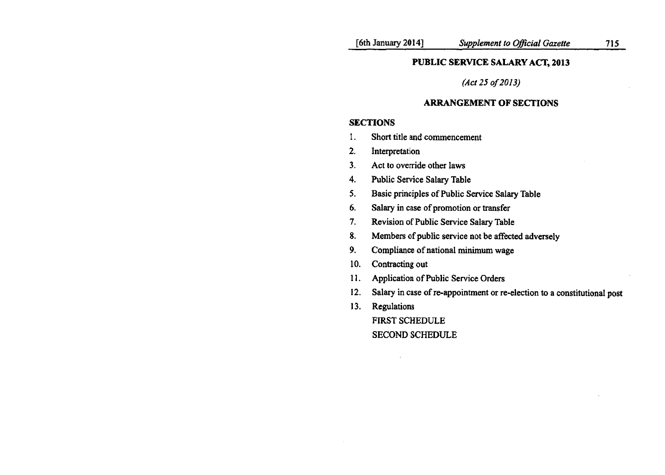## *(Act 250/2013)*

## ARRANGEMENT OF SECTIONS

### **SECTIONS**

- 1. Short title and commencement
- 2. Interpretation
- 3. Act to override other laws
- 4. Public Service Salary Table
- 5. Basic principles of Public Service Salary Table
- 6. Salary in case of promotion or transfer
- 7. Revision of Public Service Salary Table
- 8. Members of public service not be affected adversely
- 9. Compliance of national minimum wage
- 10. Contracting out
- 11. Application of Public Service Orders
- 12. Salary in case of re-appointment or re-election to a constitutional post
- 13. Regulations

FIRST SCHEDULE SECOND SCHEDULE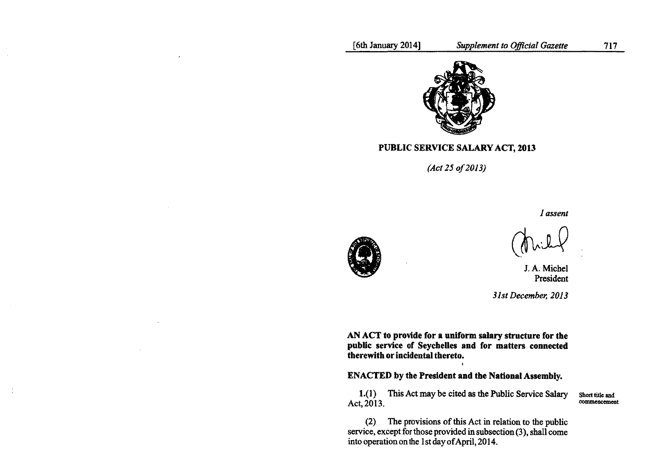

PUBLIC SERVICE SALARY ACT, 2013

*(Act 250/2013)*

*I assent*



 $\sim$ 

 $\frac{3}{2}$ 

J.A. Michel President

*31st December, 2013*

AN ACT to provide for a uniform salary structure for the public service of Seychelles and for matters connected therewith or incidental thereto.

ENACTED by the President and the National Assembly.

1.(1) This Act may be cited as the Public Service Salary Act, 2013.

Short title and commencement

(2) The provisions of this Act in relation to the public service, except for those provided in subsection (3), shall come into operation on the Ist day of April, 2014.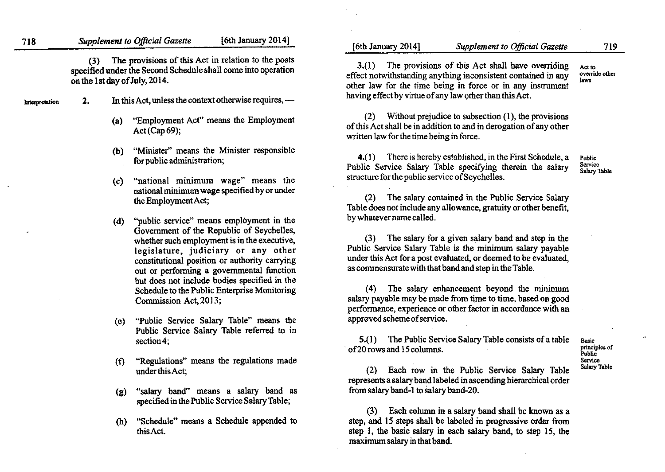(3) The provisions of this Act in relation to the posts specified under the Second Schedule shall come into operation on the 1st day of July. 20 14.

- Interpretation 2. In this Act, unless the context otherwise requires,
	- (a) "Employment Act" means the Employment Act (Cap 69);
	- (b) "Minister" means the Minister responsible
	- $(s)$  "national minimum wage" means the national minimum wage specified by or under
	- by whatevername called. (d) "public service" means employment in the Government of the Republic of Seychelles, whether such employment is in the executive, legislature, judiciary or any other constitutional position or authority carrying out or performing a governmental function but does not include bodies specified in the Schedule to the Public Enterprise Monitoring Commission Act, 2013;
	- approved scheme ofservice. (e) "Public Service Salary Table" means the Public Service Salary Table referred to in
	- (f) "Regulations" means the regulations made
	- (g) "salary band" means a salary band as from salary band-l to salary band-20. specified in the Public Service Salary Table;
	- (h) "Schedule" means a Schedule appended to this Act.

[6th January 2014] *Supplement to Official Gazette* 719

Act to override other laws

other law for the time being in force or in any instrument having effect by virtue of any law other than this Act.

3.(1) The provisions of this Act shall have overriding effect notwithstanding anything inconsistent contained in any

(2) Without prejudice to subsection (1), the provisions of this Act shall be in addition to and in derogation of any other written law for the time being in force.

for public administration;  $\begin{array}{c} 4.1 \end{array}$  There is hereby established, in the First Schedule, a Public Service Salary Table specifying therein the salary structure for the public service of Sevchelles.

Public Service Salary Table

the Employment Act; (2) The salary contained in the Public Service Salary Table does not include any allowance, gratuity or other benefit,

> (3) The salary for a given salary band and step in the Public Service Salary Table is the minimum salary payable under this Act for a post evaluated, or deemed to be evaluated, as commensurate with that band and step in the Table.

(4) The salary enhancement beyond the minimum salary payable may be made from time to time, based on good performance, experience or other factor in accordance with an

section 4; S.(1) The Public Service Salary Table consists of a table . of20 rows and 15columns.

Basic principles of Public Service Salary Table

 $\ddot{\phantom{a}}$ 

under this Act; (2) Each row in the Public Service Salary Table represents a salary band labeled in ascending hierarchical order

> (3) Each column in a salary band shall be known as a step, and 15 steps shall be labeled in progressive order from step 1, the basic salary in each salary band, to step 15, the maximum salary inthat band.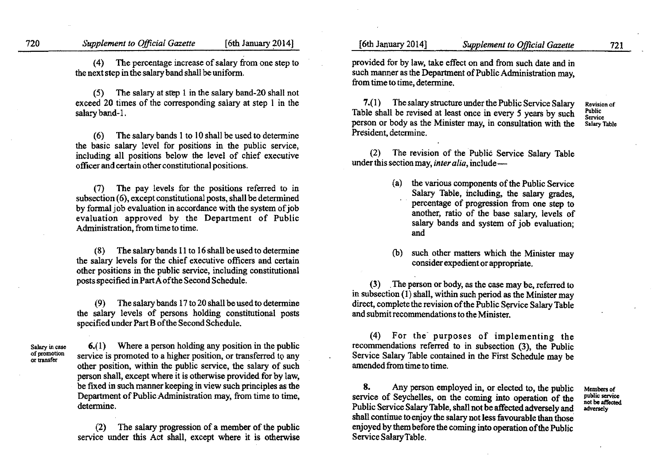(4) The percentage increase of salary from one step to the next step in the salary band shall be uniform.

(5) The salary at step 1 in the salary band-20 shall not exceed 20 times of the corresponding salary at step 1 in the salary band-I.

 $(6)$  The salary bands 1 to 10 shall be used to determine. the basic salary level for positions in the public service, including all positions below the level of chief executive officer and certain other constitutional positions.

(7) The pay levels for the positions referred to in subsection (6), except constitutional posts, shall be determined by formal job evaluation in accordance with the system of job evaluation approved by the Department of Public Administration, from time to time.

(8) The salary bands 11to 16shall be used to determine the salary levels for the chief executive officers and certain other positions in the public service, including constitutional posts specified in Part A ofthe Second Schedule.

(9) The salary bands 17to 20 shall be used to determine the salary levels of persons holding constitutional posts specified under Part B of the Second Schedule.

Salary in case of promotion or transfer

6.( 1) Where a person holding any position in the public service is promoted to a higher position, or transferred to any other position, within the public service, the salary of such person shall, except where it is otherwise provided for by law, be fixed in such manner keeping in view such principles as the Department of Public Administration may, from time to time, determine.

(2) The salary progression of a member of the public service under this Act shall, except where it is otherwise

provided for by law, take effect on and from such date and in such manner as the Department of Public Administration may, from time to time, determine.

7.(1) The salary structure under the Public Service Salary Table shall be revised at least once in every 5 years by such person or body as the Minister may, in consultation with the Revision of Public Service Salary Table

(2) The revision of the Public Service Salary Table under this section may, *inter alia*, include-

- (a) the various components of the Public Service Salary Table, including, the salary grades, percentage of progression from one step to another, ratio of the base salary, levels of salary bands and system of job evaluation; and
- (b) such other matters which the Minister may consider expedient or appropriate.

(3) .The person or body, as the case may be, referred to in subsection  $(1)$  shall, within such period as the Minister may direct, complete the revision of the Public Service Salary Table and submit recommendations to the Minister.

(4) For the purposes of implementing the recommendations referred to in subsection (3), the Public Service Salary Table contained in the First Schedule may be amended from time to time.

8. Any person employed in, or elected to, the public service of Seychelles, on the coming into operation of the Public Service SalaryTable, shall not be affected adversely and shall continue to enjoy the salary not less favourable than those' enjoyed by them before the coming into operation of the Public Service SalaryTable.

Members of public service **not be affected** adversely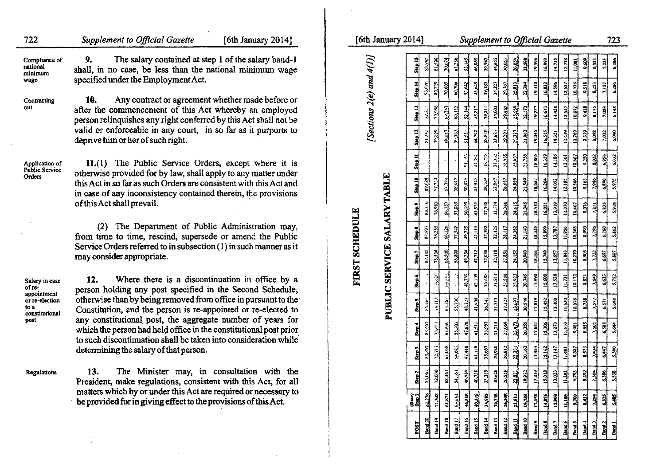| [Sections $2(e)$ and $4(1)$ ]<br>9.<br>The salary contained at step 1 of the salary band-1<br>81,500<br>61.286<br>70,674<br>$46.08^4$<br>30.05<br>22,598<br>9.68<br>$23 - 78$<br>3.14<br>39.96.<br>34.65<br>26.05<br>19,59<br>14.73<br>11,08<br>II, in no case, be less than the national minimum wage<br>cified under the Employment Act.<br>80,729<br>70,035<br>79,767<br>19,410<br>2,518<br><b>30.70</b><br>45,649<br>14.327<br>93.046<br>52,642<br>39,585<br>23.813<br>22,384<br>14,5%<br>12,657<br>10,976<br>10.<br>Any contract or agreement whether made before or<br>Step 13<br>$7 - 966$<br>34,002<br>29.485<br>(4.343)<br>60,132<br>52.144<br>45.217<br>25,569<br>22.172<br>14.458<br>5.428<br>er the commencement of this Act whereby an employed<br>39.211<br>19,27<br>16,673<br>10,872<br>son relinquishes any right conferred by this Act shall not be<br>id or enforceable in any court, in so far as it purports to<br>$\frac{3}{2}$<br>Step 12<br>44.790<br>38.540<br>79.07<br>25.21<br>$\ddot{x}$<br>9.39<br>33,681<br>prive him or her of such right.<br>28,936<br>14,186<br>0.250<br>1.022<br>21.755<br>6,956<br>12.301<br>$+1.5$<br>11.(1) The Public Service Orders, except where it is<br>erwise provided for by law, shall apply to any matter under<br><b>PUBLIC SERVICE SALARY TABLE</b><br>$n_{\mathcal{D}}$<br>58.44<br>50,679<br>28.657<br>21,549<br>6,890<br>67.394<br>43,947<br>24.850<br>14.052<br>12.185<br>9(16)<br>38.109<br>18,687<br>s Act in so far as such Orders are consistent with this Act and<br>case of any inconsistency contained therein, the provisions<br>this Act shall prevail.<br>50,199<br>37,748<br>32.74<br>78,786<br>18,110<br>66,757<br>57,889<br>(4.01)<br>21,345<br>13.919<br>12,070<br>9,076<br>10,467<br>6,825<br>43,531<br>1.571<br>16,051<br><b>FIRST SCHEDULE</b><br>(2) The Department of Public Administration may,<br>76,255<br>21,143<br>57,342<br>43,119<br>$\frac{12.425}{2}$<br>28,117<br>2,990<br>66,126<br>49,725<br>37,392<br>24.382<br>18,335<br>13,787<br>10,368<br>1,796<br>6,760<br>15,899<br>$\frac{356}{256}$<br>m time to time, rescind, supersede or amend the Public<br>rvice Orders referred to in subsection $(1)$ in such manner as it<br>75.54<br>65.500<br>$\frac{105}{201}$<br>56,800<br>42.712<br>37,038<br>32,118<br>24.152<br>ä.<br>Step 7<br>27851<br>8.905<br>15,749<br>6,697<br>y consider appropriate.<br>$\mathcal{L}_{\mathcal{M}}(\mathbb{R}^d)$<br>48.780<br>77,588<br>11,814<br>13.528<br>42.308<br>20,745<br>17,990<br>15,600<br>6,633<br>$\mathbb{E}^{11}$<br>8,821<br>12.<br>Where there is a discontinuation in office by a<br>rson holding any post specified in the Second Schedule,<br>erwise than by being removed from office in pursuant to the<br>48,127<br>27,327<br>20,549<br>17.819<br>55.730<br>41,998<br>31.513<br>8,738<br>36.341<br>15.452<br>13.400<br>0.076<br>$rac{36}{5}$<br>23.647<br>571<br>institution, and the person is re-appointed or re-elected to<br>y constitutional post, the aggregate number of years for<br>47.870<br>$\frac{31215}{212}$<br>27,069<br>$\frac{1}{2}$<br>8.655<br>63.6n0<br>35,997<br>23.47.<br>20.355<br>15,306<br>13,272<br>55.202<br>17,651<br>7,00<br>6,508<br>41,511<br>9,981<br>ich the person had held office in the constitutional post prior<br>such discontinuation shall be taken into consideration while<br>47,418<br>41,119<br>30,920<br>26,813<br>63,058<br>35,657<br>20,162<br>termining the salary of that person.<br>17,484<br>15,162<br>13,147<br>3.573<br>14.4<br>4,681<br>6,447<br>23,251<br>The Minister may, in consultation with the<br>13.<br>$\frac{3.319}{2}$<br>26.559<br>$\frac{13}{2}$<br>46.969<br>40,730<br>30,628<br>8,492<br>34,164<br>6,386<br>19.972<br>15,018<br>13,023<br>$rac{16}{2}$<br>23,091<br>esident, make regulations, consistent with this Act, for all<br>atters which by or under this Act are required or necessary to<br>71.348<br>46,525<br>30.338<br>82.278<br>10,345<br>34,88<br>26,308<br>22,813<br>19,783<br>17,155<br>14,576<br>12,900<br>53.652<br>9,700<br>$\frac{8.412}{2}$<br>1.34<br>6,325<br>61,871<br>provided for in giving effect to the provisions of this Act. | upplement to Official Gazette<br>[6th January 2014] | [6th January 2014]<br>Supplement to Official Gazette                                                                                                                                                                                                                      | 723 |  |
|---------------------------------------------------------------------------------------------------------------------------------------------------------------------------------------------------------------------------------------------------------------------------------------------------------------------------------------------------------------------------------------------------------------------------------------------------------------------------------------------------------------------------------------------------------------------------------------------------------------------------------------------------------------------------------------------------------------------------------------------------------------------------------------------------------------------------------------------------------------------------------------------------------------------------------------------------------------------------------------------------------------------------------------------------------------------------------------------------------------------------------------------------------------------------------------------------------------------------------------------------------------------------------------------------------------------------------------------------------------------------------------------------------------------------------------------------------------------------------------------------------------------------------------------------------------------------------------------------------------------------------------------------------------------------------------------------------------------------------------------------------------------------------------------------------------------------------------------------------------------------------------------------------------------------------------------------------------------------------------------------------------------------------------------------------------------------------------------------------------------------------------------------------------------------------------------------------------------------------------------------------------------------------------------------------------------------------------------------------------------------------------------------------------------------------------------------------------------------------------------------------------------------------------------------------------------------------------------------------------------------------------------------------------------------------------------------------------------------------------------------------------------------------------------------------------------------------------------------------------------------------------------------------------------------------------------------------------------------------------------------------------------------------------------------------------------------------------------------------------------------------------------------------------------------------------------------------------------------------------------------------------------------------------------------------------------------------------------------------------------------------------------------------------------------------------------------------------------------------------------------------------------------------------------------------------------------------------------------------------------------------------------------------------------------------------------------------------------------------------------------------------------------------------------------------------------------------------------------------------------------------------------------------------------------------------------------------------------------------------------------------------------------------------------------------------------------------------------------------------------------------------------------------------------------------------------|-----------------------------------------------------|---------------------------------------------------------------------------------------------------------------------------------------------------------------------------------------------------------------------------------------------------------------------------|-----|--|
|                                                                                                                                                                                                                                                                                                                                                                                                                                                                                                                                                                                                                                                                                                                                                                                                                                                                                                                                                                                                                                                                                                                                                                                                                                                                                                                                                                                                                                                                                                                                                                                                                                                                                                                                                                                                                                                                                                                                                                                                                                                                                                                                                                                                                                                                                                                                                                                                                                                                                                                                                                                                                                                                                                                                                                                                                                                                                                                                                                                                                                                                                                                                                                                                                                                                                                                                                                                                                                                                                                                                                                                                                                                                                                                                                                                                                                                                                                                                                                                                                                                                                                                                                                                             |                                                     |                                                                                                                                                                                                                                                                           |     |  |
|                                                                                                                                                                                                                                                                                                                                                                                                                                                                                                                                                                                                                                                                                                                                                                                                                                                                                                                                                                                                                                                                                                                                                                                                                                                                                                                                                                                                                                                                                                                                                                                                                                                                                                                                                                                                                                                                                                                                                                                                                                                                                                                                                                                                                                                                                                                                                                                                                                                                                                                                                                                                                                                                                                                                                                                                                                                                                                                                                                                                                                                                                                                                                                                                                                                                                                                                                                                                                                                                                                                                                                                                                                                                                                                                                                                                                                                                                                                                                                                                                                                                                                                                                                                             |                                                     |                                                                                                                                                                                                                                                                           |     |  |
|                                                                                                                                                                                                                                                                                                                                                                                                                                                                                                                                                                                                                                                                                                                                                                                                                                                                                                                                                                                                                                                                                                                                                                                                                                                                                                                                                                                                                                                                                                                                                                                                                                                                                                                                                                                                                                                                                                                                                                                                                                                                                                                                                                                                                                                                                                                                                                                                                                                                                                                                                                                                                                                                                                                                                                                                                                                                                                                                                                                                                                                                                                                                                                                                                                                                                                                                                                                                                                                                                                                                                                                                                                                                                                                                                                                                                                                                                                                                                                                                                                                                                                                                                                                             |                                                     |                                                                                                                                                                                                                                                                           |     |  |
|                                                                                                                                                                                                                                                                                                                                                                                                                                                                                                                                                                                                                                                                                                                                                                                                                                                                                                                                                                                                                                                                                                                                                                                                                                                                                                                                                                                                                                                                                                                                                                                                                                                                                                                                                                                                                                                                                                                                                                                                                                                                                                                                                                                                                                                                                                                                                                                                                                                                                                                                                                                                                                                                                                                                                                                                                                                                                                                                                                                                                                                                                                                                                                                                                                                                                                                                                                                                                                                                                                                                                                                                                                                                                                                                                                                                                                                                                                                                                                                                                                                                                                                                                                                             |                                                     |                                                                                                                                                                                                                                                                           |     |  |
|                                                                                                                                                                                                                                                                                                                                                                                                                                                                                                                                                                                                                                                                                                                                                                                                                                                                                                                                                                                                                                                                                                                                                                                                                                                                                                                                                                                                                                                                                                                                                                                                                                                                                                                                                                                                                                                                                                                                                                                                                                                                                                                                                                                                                                                                                                                                                                                                                                                                                                                                                                                                                                                                                                                                                                                                                                                                                                                                                                                                                                                                                                                                                                                                                                                                                                                                                                                                                                                                                                                                                                                                                                                                                                                                                                                                                                                                                                                                                                                                                                                                                                                                                                                             |                                                     |                                                                                                                                                                                                                                                                           |     |  |
|                                                                                                                                                                                                                                                                                                                                                                                                                                                                                                                                                                                                                                                                                                                                                                                                                                                                                                                                                                                                                                                                                                                                                                                                                                                                                                                                                                                                                                                                                                                                                                                                                                                                                                                                                                                                                                                                                                                                                                                                                                                                                                                                                                                                                                                                                                                                                                                                                                                                                                                                                                                                                                                                                                                                                                                                                                                                                                                                                                                                                                                                                                                                                                                                                                                                                                                                                                                                                                                                                                                                                                                                                                                                                                                                                                                                                                                                                                                                                                                                                                                                                                                                                                                             |                                                     |                                                                                                                                                                                                                                                                           |     |  |
|                                                                                                                                                                                                                                                                                                                                                                                                                                                                                                                                                                                                                                                                                                                                                                                                                                                                                                                                                                                                                                                                                                                                                                                                                                                                                                                                                                                                                                                                                                                                                                                                                                                                                                                                                                                                                                                                                                                                                                                                                                                                                                                                                                                                                                                                                                                                                                                                                                                                                                                                                                                                                                                                                                                                                                                                                                                                                                                                                                                                                                                                                                                                                                                                                                                                                                                                                                                                                                                                                                                                                                                                                                                                                                                                                                                                                                                                                                                                                                                                                                                                                                                                                                                             |                                                     |                                                                                                                                                                                                                                                                           |     |  |
|                                                                                                                                                                                                                                                                                                                                                                                                                                                                                                                                                                                                                                                                                                                                                                                                                                                                                                                                                                                                                                                                                                                                                                                                                                                                                                                                                                                                                                                                                                                                                                                                                                                                                                                                                                                                                                                                                                                                                                                                                                                                                                                                                                                                                                                                                                                                                                                                                                                                                                                                                                                                                                                                                                                                                                                                                                                                                                                                                                                                                                                                                                                                                                                                                                                                                                                                                                                                                                                                                                                                                                                                                                                                                                                                                                                                                                                                                                                                                                                                                                                                                                                                                                                             |                                                     |                                                                                                                                                                                                                                                                           |     |  |
|                                                                                                                                                                                                                                                                                                                                                                                                                                                                                                                                                                                                                                                                                                                                                                                                                                                                                                                                                                                                                                                                                                                                                                                                                                                                                                                                                                                                                                                                                                                                                                                                                                                                                                                                                                                                                                                                                                                                                                                                                                                                                                                                                                                                                                                                                                                                                                                                                                                                                                                                                                                                                                                                                                                                                                                                                                                                                                                                                                                                                                                                                                                                                                                                                                                                                                                                                                                                                                                                                                                                                                                                                                                                                                                                                                                                                                                                                                                                                                                                                                                                                                                                                                                             |                                                     |                                                                                                                                                                                                                                                                           |     |  |
|                                                                                                                                                                                                                                                                                                                                                                                                                                                                                                                                                                                                                                                                                                                                                                                                                                                                                                                                                                                                                                                                                                                                                                                                                                                                                                                                                                                                                                                                                                                                                                                                                                                                                                                                                                                                                                                                                                                                                                                                                                                                                                                                                                                                                                                                                                                                                                                                                                                                                                                                                                                                                                                                                                                                                                                                                                                                                                                                                                                                                                                                                                                                                                                                                                                                                                                                                                                                                                                                                                                                                                                                                                                                                                                                                                                                                                                                                                                                                                                                                                                                                                                                                                                             |                                                     |                                                                                                                                                                                                                                                                           |     |  |
|                                                                                                                                                                                                                                                                                                                                                                                                                                                                                                                                                                                                                                                                                                                                                                                                                                                                                                                                                                                                                                                                                                                                                                                                                                                                                                                                                                                                                                                                                                                                                                                                                                                                                                                                                                                                                                                                                                                                                                                                                                                                                                                                                                                                                                                                                                                                                                                                                                                                                                                                                                                                                                                                                                                                                                                                                                                                                                                                                                                                                                                                                                                                                                                                                                                                                                                                                                                                                                                                                                                                                                                                                                                                                                                                                                                                                                                                                                                                                                                                                                                                                                                                                                                             |                                                     |                                                                                                                                                                                                                                                                           |     |  |
|                                                                                                                                                                                                                                                                                                                                                                                                                                                                                                                                                                                                                                                                                                                                                                                                                                                                                                                                                                                                                                                                                                                                                                                                                                                                                                                                                                                                                                                                                                                                                                                                                                                                                                                                                                                                                                                                                                                                                                                                                                                                                                                                                                                                                                                                                                                                                                                                                                                                                                                                                                                                                                                                                                                                                                                                                                                                                                                                                                                                                                                                                                                                                                                                                                                                                                                                                                                                                                                                                                                                                                                                                                                                                                                                                                                                                                                                                                                                                                                                                                                                                                                                                                                             |                                                     |                                                                                                                                                                                                                                                                           |     |  |
|                                                                                                                                                                                                                                                                                                                                                                                                                                                                                                                                                                                                                                                                                                                                                                                                                                                                                                                                                                                                                                                                                                                                                                                                                                                                                                                                                                                                                                                                                                                                                                                                                                                                                                                                                                                                                                                                                                                                                                                                                                                                                                                                                                                                                                                                                                                                                                                                                                                                                                                                                                                                                                                                                                                                                                                                                                                                                                                                                                                                                                                                                                                                                                                                                                                                                                                                                                                                                                                                                                                                                                                                                                                                                                                                                                                                                                                                                                                                                                                                                                                                                                                                                                                             |                                                     |                                                                                                                                                                                                                                                                           |     |  |
|                                                                                                                                                                                                                                                                                                                                                                                                                                                                                                                                                                                                                                                                                                                                                                                                                                                                                                                                                                                                                                                                                                                                                                                                                                                                                                                                                                                                                                                                                                                                                                                                                                                                                                                                                                                                                                                                                                                                                                                                                                                                                                                                                                                                                                                                                                                                                                                                                                                                                                                                                                                                                                                                                                                                                                                                                                                                                                                                                                                                                                                                                                                                                                                                                                                                                                                                                                                                                                                                                                                                                                                                                                                                                                                                                                                                                                                                                                                                                                                                                                                                                                                                                                                             |                                                     |                                                                                                                                                                                                                                                                           |     |  |
|                                                                                                                                                                                                                                                                                                                                                                                                                                                                                                                                                                                                                                                                                                                                                                                                                                                                                                                                                                                                                                                                                                                                                                                                                                                                                                                                                                                                                                                                                                                                                                                                                                                                                                                                                                                                                                                                                                                                                                                                                                                                                                                                                                                                                                                                                                                                                                                                                                                                                                                                                                                                                                                                                                                                                                                                                                                                                                                                                                                                                                                                                                                                                                                                                                                                                                                                                                                                                                                                                                                                                                                                                                                                                                                                                                                                                                                                                                                                                                                                                                                                                                                                                                                             |                                                     |                                                                                                                                                                                                                                                                           |     |  |
|                                                                                                                                                                                                                                                                                                                                                                                                                                                                                                                                                                                                                                                                                                                                                                                                                                                                                                                                                                                                                                                                                                                                                                                                                                                                                                                                                                                                                                                                                                                                                                                                                                                                                                                                                                                                                                                                                                                                                                                                                                                                                                                                                                                                                                                                                                                                                                                                                                                                                                                                                                                                                                                                                                                                                                                                                                                                                                                                                                                                                                                                                                                                                                                                                                                                                                                                                                                                                                                                                                                                                                                                                                                                                                                                                                                                                                                                                                                                                                                                                                                                                                                                                                                             |                                                     | Band 19<br>Band 16<br>Band 14<br>Band 12<br>Band 17<br><b>Band 15</b><br>Band 13<br>Band 10<br>Bard 11<br>Band 9<br><b>Band &amp;</b><br>Bard 2<br>Band <sup>7</sup><br><b>Band 6</b><br>Band <sub>5</sub><br>Band 4<br>$rac{1}{2}$<br>POST<br><b>Band</b><br><b>Band</b> |     |  |

Contracting out

722 **Supplement** to Official

 $\ddot{\phantom{1}}$ 

Compliance of national minimum wage shall, in no specified u

> after the c person relin  $\alpha$ valid or en deprive hin

Application of Public Service Order

 $11.(1)$ otherwise this Act in in case of of this Act

(2) The Department of Public Administration may, from time Service Or may consid

Salary in case<br>of reappointme or re-electio toa constitutional post

12. Where there is a discontinuation in office by a person hol otherwise Constitution any consti which the to such dis determinin

Regulations

13. The Minister may, in consultation with the President, matters wh be provide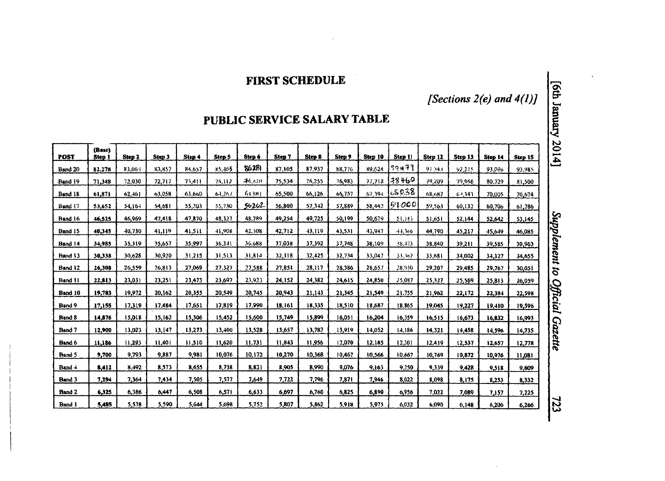# FIRST SCHEDULE

*[Sections 2(e) and 4(1)1*

# PUBLIC SERVICE SALARY TABLE

| <b>POST</b>   | (Base)<br>Step 1 | Step 2     | Step 3 | Step 4 | Step 5 | Step 6 | Step 7 | Step 8 | Step 9 | Step 10   | Step 11 | Step 12 | Step 13 | Step 14 | Step 15 |
|---------------|------------------|------------|--------|--------|--------|--------|--------|--------|--------|-----------|---------|---------|---------|---------|---------|
| Band 20       | 82.278           | 83.064     | 83.857 | 84.657 | 85,465 | 86281  | 87,105 | 87,937 | 88,776 | 89,624    | 90471   | 91,343  | 92.215  | 93.096  | 93.985  |
| Band 19       | 71.348           | 72,030     | 72,717 | 73.411 | 74,112 | ZN 120 | 75,534 | 76,255 | 76,983 | 77,718    | 78460   | 79,209  | 79,966  | 80.729  | 81.500  |
| Band 18       | 61,871           | $62, -161$ | 03.058 | 63.660 | 64,261 | 64881  | 65.500 | 66.126 | 66,757 | $67.39 -$ | 68038   | 68,687  | 64,343  | 70.005  | 70.674  |
| Band 17       | 53,652           | 54.164     | 54,681 | 55,203 | 55,730 | 56262  | 56,800 | 57.342 | 57.889 | 58,442    | 51000   | 59,563  | 60,132  | 60,706  | 61,286  |
| Band 16       | 46,525           | 46,969     | 47,418 | 47.870 | 48,327 | 48.789 | 49,254 | 49,725 | 50,199 | 50.679    | 51,163  | 51,651  | 52,144  | 52.642  | 53.145  |
| Band 15       | 40.345           | 40.730     | 41.119 | 41,511 | 41.908 | 42,308 | 42.712 | 43.119 | 43,531 | 43,947    | 44.366  | 44.790  | 45,217  | 45,649  | 46.085  |
| Band 14       | 34,985           | 35.319     | 35.657 | 35,997 | 36,341 | 36.688 | 37.038 | 37,392 | 37.748 | 38.109    | 38.473  | 38.840  | 39,211  | 39.585  | 39.963  |
| Band 13       | 30.338           | 30.628     | 30.920 | 31,215 | 31.513 | 31,814 | 32,118 | 32,425 | 32.734 | 33,047    | 33,362  | 33,681  | 34,002  | 34,327  | 34,655  |
| Band 12       | 26,308           | 26,559     | 26,813 | 27.069 | 27,327 | 27.588 | 27,851 | 28,117 | 28,386 | 28.657    | 28.930  | 29,207  | 29,485  | 29,767  | 30.051  |
| Band 11       | 22,813           | 23,031     | 23,251 | 23,473 | 23,697 | 23,923 | 24.152 | 24.382 | 24,615 | 24,850    | 25.087  | 25,327  | 25,569  | 25,813  | 26.059  |
| Band 10       | 19,783           | 19.972     | 20,162 | 20.355 | 20.549 | 20,745 | 20.943 | 21,143 | 21,345 | 21,549    | 21.755  | 21.962  | 22,172  | 22,384  | 22,598  |
| Band 9        | 17.155           | 17,319     | 17,484 | 17,651 | 17,819 | 17,990 | 18,161 | 18,335 | 18,510 | 18,687    | 18.865  | 19,045  | 19,227  | 19,410  | 19,596  |
| <b>Band 8</b> | 14,876           | 15,018     | 15,162 | 15.306 | 15,452 | 15,600 | 15.749 | 15,899 | 16,051 | 16,204    | 16.359  | 16,515  | 16,673  | 16,832  | 16,993  |
| Band 7        | 12.900           | 13.023     | 13.147 | 13.273 | 13,400 | 13,528 | 13.657 | 13,787 | 13,919 | 14.052    | 14.186  | 14.321  | 14,458  | 14,596  | 14.735  |
| Band 6        | 11,186           | 11.293     | 11.401 | 11,510 | 11,620 | 11,731 | 11.843 | 11,956 | 12.070 | 12,185    | 12.301  | 12,419  | 12,537  | 12.657  | 12.778  |
| Band 5        | 9,700            | 9,793      | 9,887  | 9,981  | 10,076 | 10.172 | 10,270 | 10,368 | 10,467 | 10,566    | 10.667  | 10,769  | 10,872  | 10.976  | 11.081  |
| Band 4        | 8,412            | 8,492      | 8,573  | 8,655  | 8,738  | 8.821  | 8905   | 8,990  | 9,076  | 9.163     | 9.250   | 9.339   | 9,428   | 9,518   | 9.609   |
| Band 3        | 7,294            | 7,364      | 7,434  | 7,505  | 7,577  | 7,649  | 7.722  | 7,796  | 7,871  | 7.946     | 8.022   | 8,098   | 8,175   | 8,253   | 8,332   |
| <b>Band 2</b> | 6.325            | 6.386      | 6,447  | 6.508  | 6,571  | 6,633  | 6.697  | 6,760  | 6,825  | 6,890     | 6,956   | 7,022   | 7,089   | 7.157   | 7.225   |
| Band 1        | 5,485            | 5,538      | 5,590  | 5,644  | 5,698  | 5,752  | 5,807  | 5,862  | 5,918  | 5,975     | 6,032   | 6,090   | 6,148   | 6,206   | 6,266   |

723